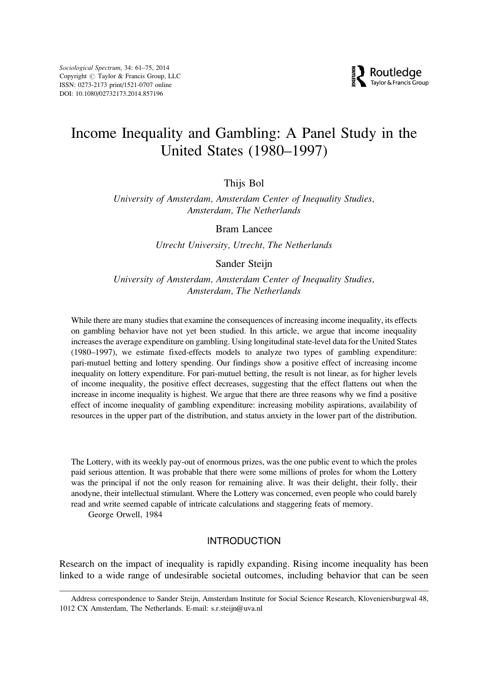

# Income Inequality and Gambling: A Panel Study in the United States (1980–1997)

Thijs Bol

University of Amsterdam, Amsterdam Center of Inequality Studies, Amsterdam, The Netherlands

Bram Lancee

Utrecht University, Utrecht, The Netherlands

Sander Steijn

University of Amsterdam, Amsterdam Center of Inequality Studies, Amsterdam, The Netherlands

While there are many studies that examine the consequences of increasing income inequality, its effects on gambling behavior have not yet been studied. In this article, we argue that income inequality increases the average expenditure on gambling. Using longitudinal state-level data for the United States (1980–1997), we estimate fixed-effects models to analyze two types of gambling expenditure: pari-mutuel betting and lottery spending. Our findings show a positive effect of increasing income inequality on lottery expenditure. For pari-mutuel betting, the result is not linear, as for higher levels of income inequality, the positive effect decreases, suggesting that the effect flattens out when the increase in income inequality is highest. We argue that there are three reasons why we find a positive effect of income inequality of gambling expenditure: increasing mobility aspirations, availability of resources in the upper part of the distribution, and status anxiety in the lower part of the distribution.

The Lottery, with its weekly pay-out of enormous prizes, was the one public event to which the proles paid serious attention. It was probable that there were some millions of proles for whom the Lottery was the principal if not the only reason for remaining alive. It was their delight, their folly, their anodyne, their intellectual stimulant. Where the Lottery was concerned, even people who could barely read and write seemed capable of intricate calculations and staggering feats of memory.

George Orwell, 1984

## INTRODUCTION

Research on the impact of inequality is rapidly expanding. Rising income inequality has been linked to a wide range of undesirable societal outcomes, including behavior that can be seen

Address correspondence to Sander Steijn, Amsterdam Institute for Social Science Research, Kloveniersburgwal 48, 1012 CX Amsterdam, The Netherlands. E-mail: s.r.steijn@uva.nl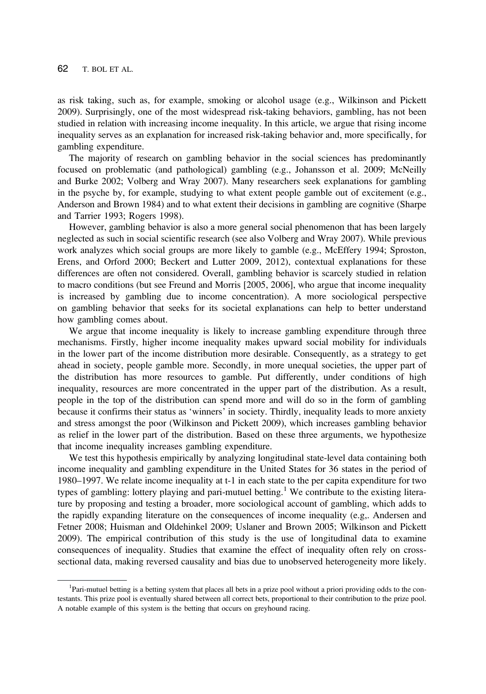as risk taking, such as, for example, smoking or alcohol usage (e.g., Wilkinson and Pickett 2009). Surprisingly, one of the most widespread risk-taking behaviors, gambling, has not been studied in relation with increasing income inequality. In this article, we argue that rising income inequality serves as an explanation for increased risk-taking behavior and, more specifically, for gambling expenditure.

The majority of research on gambling behavior in the social sciences has predominantly focused on problematic (and pathological) gambling (e.g., Johansson et al. 2009; McNeilly and Burke 2002; Volberg and Wray 2007). Many researchers seek explanations for gambling in the psyche by, for example, studying to what extent people gamble out of excitement (e.g., Anderson and Brown 1984) and to what extent their decisions in gambling are cognitive (Sharpe and Tarrier 1993; Rogers 1998).

However, gambling behavior is also a more general social phenomenon that has been largely neglected as such in social scientific research (see also Volberg and Wray 2007). While previous work analyzes which social groups are more likely to gamble (e.g., McEffery 1994; Sproston, Erens, and Orford 2000; Beckert and Lutter 2009, 2012), contextual explanations for these differences are often not considered. Overall, gambling behavior is scarcely studied in relation to macro conditions (but see Freund and Morris [2005, 2006], who argue that income inequality is increased by gambling due to income concentration). A more sociological perspective on gambling behavior that seeks for its societal explanations can help to better understand how gambling comes about.

We argue that income inequality is likely to increase gambling expenditure through three mechanisms. Firstly, higher income inequality makes upward social mobility for individuals in the lower part of the income distribution more desirable. Consequently, as a strategy to get ahead in society, people gamble more. Secondly, in more unequal societies, the upper part of the distribution has more resources to gamble. Put differently, under conditions of high inequality, resources are more concentrated in the upper part of the distribution. As a result, people in the top of the distribution can spend more and will do so in the form of gambling because it confirms their status as 'winners' in society. Thirdly, inequality leads to more anxiety and stress amongst the poor (Wilkinson and Pickett 2009), which increases gambling behavior as relief in the lower part of the distribution. Based on these three arguments, we hypothesize that income inequality increases gambling expenditure.

We test this hypothesis empirically by analyzing longitudinal state-level data containing both income inequality and gambling expenditure in the United States for 36 states in the period of 1980–1997. We relate income inequality at t-1 in each state to the per capita expenditure for two types of gambling: lottery playing and pari-mutuel betting.<sup>1</sup> We contribute to the existing literature by proposing and testing a broader, more sociological account of gambling, which adds to the rapidly expanding literature on the consequences of income inequality (e.g,. Andersen and Fetner 2008; Huisman and Oldehinkel 2009; Uslaner and Brown 2005; Wilkinson and Pickett 2009). The empirical contribution of this study is the use of longitudinal data to examine consequences of inequality. Studies that examine the effect of inequality often rely on crosssectional data, making reversed causality and bias due to unobserved heterogeneity more likely.

<sup>&</sup>lt;sup>1</sup>Pari-mutuel betting is a betting system that places all bets in a prize pool without a priori providing odds to the contestants. This prize pool is eventually shared between all correct bets, proportional to their contribution to the prize pool. A notable example of this system is the betting that occurs on greyhound racing.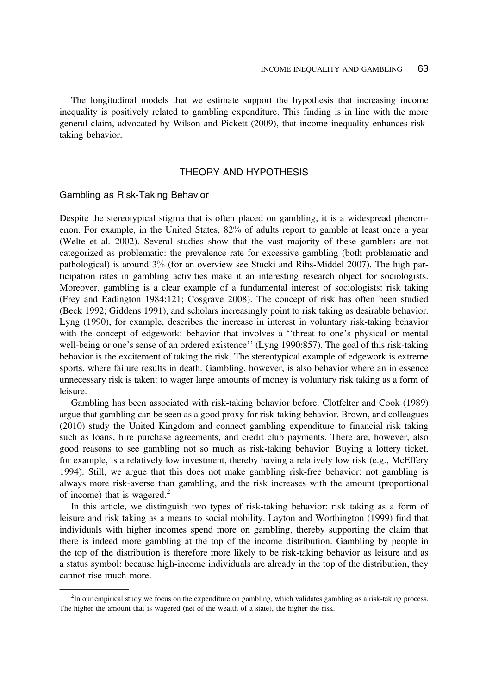The longitudinal models that we estimate support the hypothesis that increasing income inequality is positively related to gambling expenditure. This finding is in line with the more general claim, advocated by Wilson and Pickett (2009), that income inequality enhances risktaking behavior.

## THEORY AND HYPOTHESIS

#### Gambling as Risk-Taking Behavior

Despite the stereotypical stigma that is often placed on gambling, it is a widespread phenomenon. For example, in the United States, 82% of adults report to gamble at least once a year (Welte et al. 2002). Several studies show that the vast majority of these gamblers are not categorized as problematic: the prevalence rate for excessive gambling (both problematic and pathological) is around 3% (for an overview see Stucki and Rihs-Middel 2007). The high participation rates in gambling activities make it an interesting research object for sociologists. Moreover, gambling is a clear example of a fundamental interest of sociologists: risk taking (Frey and Eadington 1984:121; Cosgrave 2008). The concept of risk has often been studied (Beck 1992; Giddens 1991), and scholars increasingly point to risk taking as desirable behavior. Lyng (1990), for example, describes the increase in interest in voluntary risk-taking behavior with the concept of edgework: behavior that involves a ''threat to one's physical or mental well-being or one's sense of an ordered existence'' (Lyng 1990:857). The goal of this risk-taking behavior is the excitement of taking the risk. The stereotypical example of edgework is extreme sports, where failure results in death. Gambling, however, is also behavior where an in essence unnecessary risk is taken: to wager large amounts of money is voluntary risk taking as a form of leisure.

Gambling has been associated with risk-taking behavior before. Clotfelter and Cook (1989) argue that gambling can be seen as a good proxy for risk-taking behavior. Brown, and colleagues (2010) study the United Kingdom and connect gambling expenditure to financial risk taking such as loans, hire purchase agreements, and credit club payments. There are, however, also good reasons to see gambling not so much as risk-taking behavior. Buying a lottery ticket, for example, is a relatively low investment, thereby having a relatively low risk (e.g., McEffery 1994). Still, we argue that this does not make gambling risk-free behavior: not gambling is always more risk-averse than gambling, and the risk increases with the amount (proportional of income) that is wagered. $2$ 

In this article, we distinguish two types of risk-taking behavior: risk taking as a form of leisure and risk taking as a means to social mobility. Layton and Worthington (1999) find that individuals with higher incomes spend more on gambling, thereby supporting the claim that there is indeed more gambling at the top of the income distribution. Gambling by people in the top of the distribution is therefore more likely to be risk-taking behavior as leisure and as a status symbol: because high-income individuals are already in the top of the distribution, they cannot rise much more.

<sup>&</sup>lt;sup>2</sup>In our empirical study we focus on the expenditure on gambling, which validates gambling as a risk-taking process. The higher the amount that is wagered (net of the wealth of a state), the higher the risk.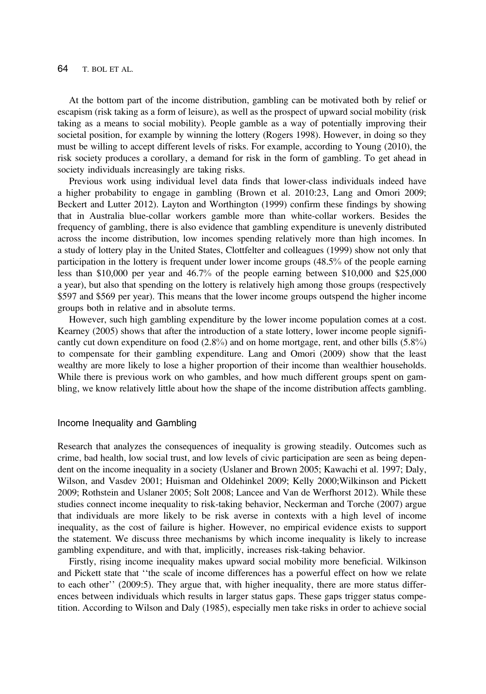At the bottom part of the income distribution, gambling can be motivated both by relief or escapism (risk taking as a form of leisure), as well as the prospect of upward social mobility (risk taking as a means to social mobility). People gamble as a way of potentially improving their societal position, for example by winning the lottery (Rogers 1998). However, in doing so they must be willing to accept different levels of risks. For example, according to Young (2010), the risk society produces a corollary, a demand for risk in the form of gambling. To get ahead in society individuals increasingly are taking risks.

Previous work using individual level data finds that lower-class individuals indeed have a higher probability to engage in gambling (Brown et al. 2010:23, Lang and Omori 2009; Beckert and Lutter 2012). Layton and Worthington (1999) confirm these findings by showing that in Australia blue-collar workers gamble more than white-collar workers. Besides the frequency of gambling, there is also evidence that gambling expenditure is unevenly distributed across the income distribution, low incomes spending relatively more than high incomes. In a study of lottery play in the United States, Clottfelter and colleagues (1999) show not only that participation in the lottery is frequent under lower income groups (48.5% of the people earning less than \$10,000 per year and 46.7% of the people earning between \$10,000 and \$25,000 a year), but also that spending on the lottery is relatively high among those groups (respectively \$597 and \$569 per year). This means that the lower income groups outspend the higher income groups both in relative and in absolute terms.

However, such high gambling expenditure by the lower income population comes at a cost. Kearney (2005) shows that after the introduction of a state lottery, lower income people significantly cut down expenditure on food  $(2.8\%)$  and on home mortgage, rent, and other bills (5.8%) to compensate for their gambling expenditure. Lang and Omori (2009) show that the least wealthy are more likely to lose a higher proportion of their income than wealthier households. While there is previous work on who gambles, and how much different groups spent on gambling, we know relatively little about how the shape of the income distribution affects gambling.

#### Income Inequality and Gambling

Research that analyzes the consequences of inequality is growing steadily. Outcomes such as crime, bad health, low social trust, and low levels of civic participation are seen as being dependent on the income inequality in a society (Uslaner and Brown 2005; Kawachi et al. 1997; Daly, Wilson, and Vasdev 2001; Huisman and Oldehinkel 2009; Kelly 2000;Wilkinson and Pickett 2009; Rothstein and Uslaner 2005; Solt 2008; Lancee and Van de Werfhorst 2012). While these studies connect income inequality to risk-taking behavior, Neckerman and Torche (2007) argue that individuals are more likely to be risk averse in contexts with a high level of income inequality, as the cost of failure is higher. However, no empirical evidence exists to support the statement. We discuss three mechanisms by which income inequality is likely to increase gambling expenditure, and with that, implicitly, increases risk-taking behavior.

Firstly, rising income inequality makes upward social mobility more beneficial. Wilkinson and Pickett state that ''the scale of income differences has a powerful effect on how we relate to each other'' (2009:5). They argue that, with higher inequality, there are more status differences between individuals which results in larger status gaps. These gaps trigger status competition. According to Wilson and Daly (1985), especially men take risks in order to achieve social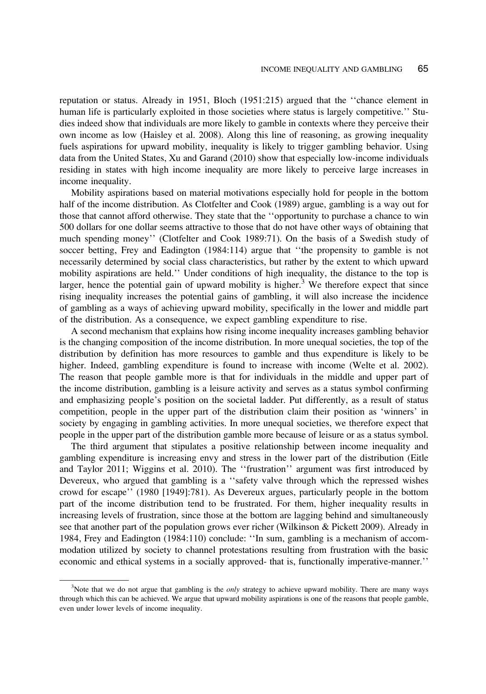reputation or status. Already in 1951, Bloch (1951:215) argued that the ''chance element in human life is particularly exploited in those societies where status is largely competitive.'' Studies indeed show that individuals are more likely to gamble in contexts where they perceive their own income as low (Haisley et al. 2008). Along this line of reasoning, as growing inequality fuels aspirations for upward mobility, inequality is likely to trigger gambling behavior. Using data from the United States, Xu and Garand (2010) show that especially low-income individuals residing in states with high income inequality are more likely to perceive large increases in income inequality.

Mobility aspirations based on material motivations especially hold for people in the bottom half of the income distribution. As Clotfelter and Cook (1989) argue, gambling is a way out for those that cannot afford otherwise. They state that the ''opportunity to purchase a chance to win 500 dollars for one dollar seems attractive to those that do not have other ways of obtaining that much spending money'' (Clotfelter and Cook 1989:71). On the basis of a Swedish study of soccer betting, Frey and Eadington (1984:114) argue that ''the propensity to gamble is not necessarily determined by social class characteristics, but rather by the extent to which upward mobility aspirations are held.'' Under conditions of high inequality, the distance to the top is larger, hence the potential gain of upward mobility is higher.<sup>3</sup> We therefore expect that since rising inequality increases the potential gains of gambling, it will also increase the incidence of gambling as a ways of achieving upward mobility, specifically in the lower and middle part of the distribution. As a consequence, we expect gambling expenditure to rise.

A second mechanism that explains how rising income inequality increases gambling behavior is the changing composition of the income distribution. In more unequal societies, the top of the distribution by definition has more resources to gamble and thus expenditure is likely to be higher. Indeed, gambling expenditure is found to increase with income (Welte et al. 2002). The reason that people gamble more is that for individuals in the middle and upper part of the income distribution, gambling is a leisure activity and serves as a status symbol confirming and emphasizing people's position on the societal ladder. Put differently, as a result of status competition, people in the upper part of the distribution claim their position as 'winners' in society by engaging in gambling activities. In more unequal societies, we therefore expect that people in the upper part of the distribution gamble more because of leisure or as a status symbol.

The third argument that stipulates a positive relationship between income inequality and gambling expenditure is increasing envy and stress in the lower part of the distribution (Eitle and Taylor 2011; Wiggins et al. 2010). The ''frustration'' argument was first introduced by Devereux, who argued that gambling is a ''safety valve through which the repressed wishes crowd for escape'' (1980 [1949]:781). As Devereux argues, particularly people in the bottom part of the income distribution tend to be frustrated. For them, higher inequality results in increasing levels of frustration, since those at the bottom are lagging behind and simultaneously see that another part of the population grows ever richer (Wilkinson & Pickett 2009). Already in 1984, Frey and Eadington (1984:110) conclude: ''In sum, gambling is a mechanism of accommodation utilized by society to channel protestations resulting from frustration with the basic economic and ethical systems in a socially approved- that is, functionally imperative-manner.''

<sup>&</sup>lt;sup>3</sup>Note that we do not argue that gambling is the *only* strategy to achieve upward mobility. There are many ways through which this can be achieved. We argue that upward mobility aspirations is one of the reasons that people gamble, even under lower levels of income inequality.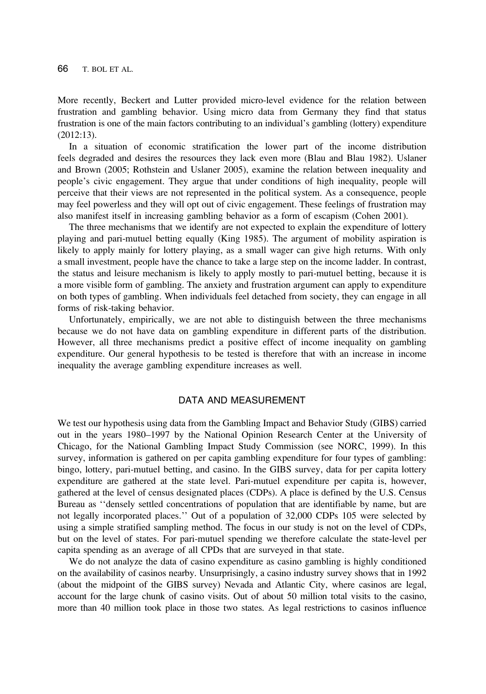More recently, Beckert and Lutter provided micro-level evidence for the relation between frustration and gambling behavior. Using micro data from Germany they find that status frustration is one of the main factors contributing to an individual's gambling (lottery) expenditure (2012:13).

In a situation of economic stratification the lower part of the income distribution feels degraded and desires the resources they lack even more (Blau and Blau 1982). Uslaner and Brown (2005; Rothstein and Uslaner 2005), examine the relation between inequality and people's civic engagement. They argue that under conditions of high inequality, people will perceive that their views are not represented in the political system. As a consequence, people may feel powerless and they will opt out of civic engagement. These feelings of frustration may also manifest itself in increasing gambling behavior as a form of escapism (Cohen 2001).

The three mechanisms that we identify are not expected to explain the expenditure of lottery playing and pari-mutuel betting equally (King 1985). The argument of mobility aspiration is likely to apply mainly for lottery playing, as a small wager can give high returns. With only a small investment, people have the chance to take a large step on the income ladder. In contrast, the status and leisure mechanism is likely to apply mostly to pari-mutuel betting, because it is a more visible form of gambling. The anxiety and frustration argument can apply to expenditure on both types of gambling. When individuals feel detached from society, they can engage in all forms of risk-taking behavior.

Unfortunately, empirically, we are not able to distinguish between the three mechanisms because we do not have data on gambling expenditure in different parts of the distribution. However, all three mechanisms predict a positive effect of income inequality on gambling expenditure. Our general hypothesis to be tested is therefore that with an increase in income inequality the average gambling expenditure increases as well.

## DATA AND MEASUREMENT

We test our hypothesis using data from the Gambling Impact and Behavior Study (GIBS) carried out in the years 1980–1997 by the National Opinion Research Center at the University of Chicago, for the National Gambling Impact Study Commission (see NORC, 1999). In this survey, information is gathered on per capita gambling expenditure for four types of gambling: bingo, lottery, pari-mutuel betting, and casino. In the GIBS survey, data for per capita lottery expenditure are gathered at the state level. Pari-mutuel expenditure per capita is, however, gathered at the level of census designated places (CDPs). A place is defined by the U.S. Census Bureau as ''densely settled concentrations of population that are identifiable by name, but are not legally incorporated places.'' Out of a population of 32,000 CDPs 105 were selected by using a simple stratified sampling method. The focus in our study is not on the level of CDPs, but on the level of states. For pari-mutuel spending we therefore calculate the state-level per capita spending as an average of all CPDs that are surveyed in that state.

We do not analyze the data of casino expenditure as casino gambling is highly conditioned on the availability of casinos nearby. Unsurprisingly, a casino industry survey shows that in 1992 (about the midpoint of the GIBS survey) Nevada and Atlantic City, where casinos are legal, account for the large chunk of casino visits. Out of about 50 million total visits to the casino, more than 40 million took place in those two states. As legal restrictions to casinos influence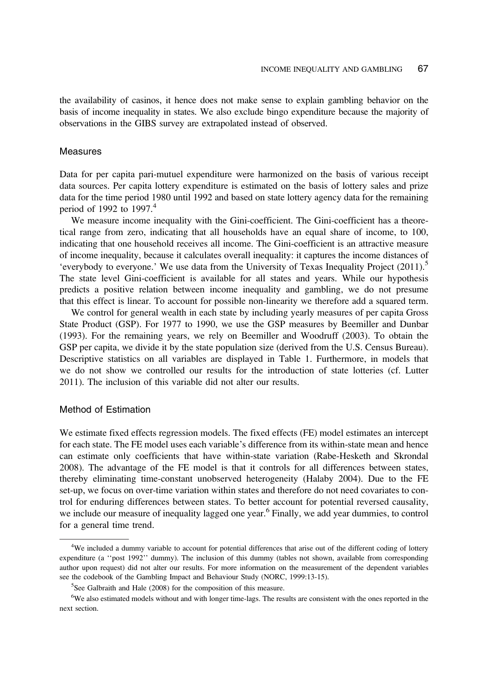the availability of casinos, it hence does not make sense to explain gambling behavior on the basis of income inequality in states. We also exclude bingo expenditure because the majority of observations in the GIBS survey are extrapolated instead of observed.

## Measures

Data for per capita pari-mutuel expenditure were harmonized on the basis of various receipt data sources. Per capita lottery expenditure is estimated on the basis of lottery sales and prize data for the time period 1980 until 1992 and based on state lottery agency data for the remaining period of 1992 to 1997.<sup>4</sup>

We measure income inequality with the Gini-coefficient. The Gini-coefficient has a theoretical range from zero, indicating that all households have an equal share of income, to 100, indicating that one household receives all income. The Gini-coefficient is an attractive measure of income inequality, because it calculates overall inequality: it captures the income distances of 'everybody to everyone.' We use data from the University of Texas Inequality Project  $(2011)$ .<sup>5</sup> The state level Gini-coefficient is available for all states and years. While our hypothesis predicts a positive relation between income inequality and gambling, we do not presume that this effect is linear. To account for possible non-linearity we therefore add a squared term.

We control for general wealth in each state by including yearly measures of per capita Gross State Product (GSP). For 1977 to 1990, we use the GSP measures by Beemiller and Dunbar (1993). For the remaining years, we rely on Beemiller and Woodruff (2003). To obtain the GSP per capita, we divide it by the state population size (derived from the U.S. Census Bureau). Descriptive statistics on all variables are displayed in Table 1. Furthermore, in models that we do not show we controlled our results for the introduction of state lotteries (cf. Lutter 2011). The inclusion of this variable did not alter our results.

## Method of Estimation

We estimate fixed effects regression models. The fixed effects (FE) model estimates an intercept for each state. The FE model uses each variable's difference from its within-state mean and hence can estimate only coefficients that have within-state variation (Rabe-Hesketh and Skrondal 2008). The advantage of the FE model is that it controls for all differences between states, thereby eliminating time-constant unobserved heterogeneity (Halaby 2004). Due to the FE set-up, we focus on over-time variation within states and therefore do not need covariates to control for enduring differences between states. To better account for potential reversed causality, we include our measure of inequality lagged one year.<sup>6</sup> Finally, we add year dummies, to control for a general time trend.

<sup>&</sup>lt;sup>4</sup>We included a dummy variable to account for potential differences that arise out of the different coding of lottery expenditure (a ''post 1992'' dummy). The inclusion of this dummy (tables not shown, available from corresponding author upon request) did not alter our results. For more information on the measurement of the dependent variables see the codebook of the Gambling Impact and Behaviour Study (NORC, 1999:13-15).

 $5$ See Galbraith and Hale (2008) for the composition of this measure.

<sup>&</sup>lt;sup>6</sup>We also estimated models without and with longer time-lags. The results are consistent with the ones reported in the next section.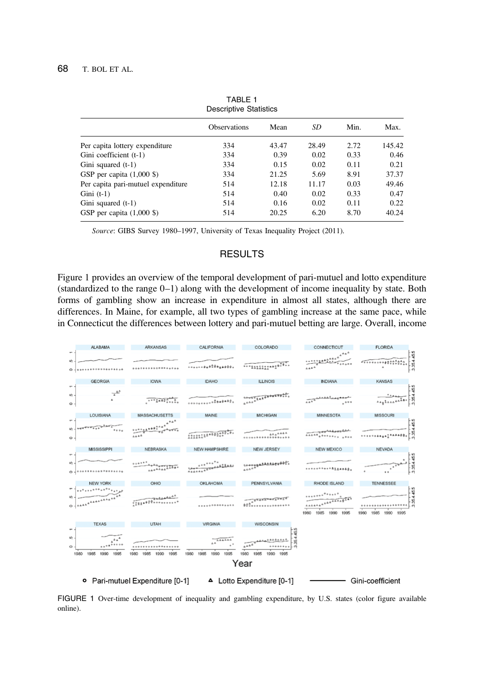| <b>Observations</b> | Mean  | <i>SD</i> | Min. | Max.   |  |  |  |
|---------------------|-------|-----------|------|--------|--|--|--|
| 334                 | 43.47 | 28.49     | 2.72 | 145.42 |  |  |  |
| 334                 | 0.39  | 0.02      | 0.33 | 0.46   |  |  |  |
| 334                 | 0.15  | 0.02      | 0.11 | 0.21   |  |  |  |
| 334                 | 21.25 | 5.69      | 8.91 | 37.37  |  |  |  |
| 514                 | 12.18 | 11.17     | 0.03 | 49.46  |  |  |  |
| 514                 | 0.40  | 0.02      | 0.33 | 0.47   |  |  |  |
| 514                 | 0.16  | 0.02      | 0.11 | 0.22   |  |  |  |
| 514                 | 20.25 | 6.20      | 8.70 | 40.24  |  |  |  |
|                     |       |           |      |        |  |  |  |

TABLE 1 Descriptive Statistics

Source: GIBS Survey 1980–1997, University of Texas Inequality Project (2011).

## **RESULTS**

Figure 1 provides an overview of the temporal development of pari-mutuel and lotto expenditure (standardized to the range 0–1) along with the development of income inequality by state. Both forms of gambling show an increase in expenditure in almost all states, although there are differences. In Maine, for example, all two types of gambling increase at the same pace, while in Connecticut the differences between lottery and pari-mutuel betting are large. Overall, income



FIGURE 1 Over-time development of inequality and gambling expenditure, by U.S. states (color figure available online).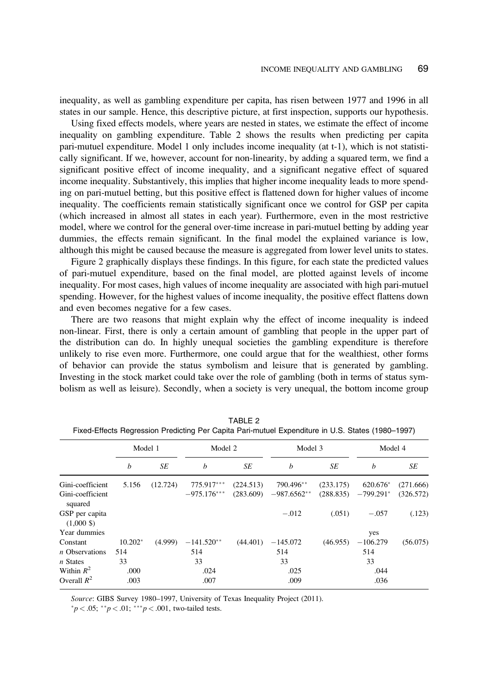inequality, as well as gambling expenditure per capita, has risen between 1977 and 1996 in all states in our sample. Hence, this descriptive picture, at first inspection, supports our hypothesis.

Using fixed effects models, where years are nested in states, we estimate the effect of income inequality on gambling expenditure. Table 2 shows the results when predicting per capita pari-mutuel expenditure. Model 1 only includes income inequality (at t-1), which is not statistically significant. If we, however, account for non-linearity, by adding a squared term, we find a significant positive effect of income inequality, and a significant negative effect of squared income inequality. Substantively, this implies that higher income inequality leads to more spending on pari-mutuel betting, but this positive effect is flattened down for higher values of income inequality. The coefficients remain statistically significant once we control for GSP per capita (which increased in almost all states in each year). Furthermore, even in the most restrictive model, where we control for the general over-time increase in pari-mutuel betting by adding year dummies, the effects remain significant. In the final model the explained variance is low, although this might be caused because the measure is aggregated from lower level units to states.

Figure 2 graphically displays these findings. In this figure, for each state the predicted values of pari-mutuel expenditure, based on the final model, are plotted against levels of income inequality. For most cases, high values of income inequality are associated with high pari-mutuel spending. However, for the highest values of income inequality, the positive effect flattens down and even becomes negative for a few cases.

There are two reasons that might explain why the effect of income inequality is indeed non-linear. First, there is only a certain amount of gambling that people in the upper part of the distribution can do. In highly unequal societies the gambling expenditure is therefore unlikely to rise even more. Furthermore, one could argue that for the wealthiest, other forms of behavior can provide the status symbolism and leisure that is generated by gambling. Investing in the stock market could take over the role of gambling (both in terms of status symbolism as well as leisure). Secondly, when a society is very unequal, the bottom income group

|                                        | Model 1   |          | Model 2          |           | Model 3          |           | Model 4     |           |
|----------------------------------------|-----------|----------|------------------|-----------|------------------|-----------|-------------|-----------|
|                                        | b         | SE       | $\boldsymbol{h}$ | SE        | $\boldsymbol{h}$ | SE        | b           | SE        |
| Gini-coefficient                       | 5.156     | (12.724) | 775.917***       | (224.513) | 790.496**        | (233.175) | 620.676*    | (271.666) |
| Gini-coefficient<br>squared            |           |          | $-975.176***$    | (283.609) | $-987.6562**$    | (288.835) | $-799.291*$ | (326.572) |
| GSP per capita<br>$(1,000 \text{ } $)$ |           |          |                  |           | $-.012$          | (.051)    | $-.057$     | (.123)    |
| Year dummies                           |           |          |                  |           |                  |           | yes         |           |
| Constant                               | $10.202*$ | (4.999)  | $-141.520**$     | (44.401)  | $-145.072$       | (46.955)  | $-106.279$  | (56.075)  |
| <i>n</i> Observations                  | 514       |          | 514              |           | 514              |           | 514         |           |
| $n$ States                             | 33        |          | 33               |           | 33               |           | 33          |           |
| Within $R^2$                           | .000      |          | .024             |           | .025             |           | .044        |           |
| Overall $R^2$                          | .003      |          | .007             |           | .009             |           | .036        |           |

TARI F 2 Fixed-Effects Regression Predicting Per Capita Pari-mutuel Expenditure in U.S. States (1980–1997)

Source: GIBS Survey 1980–1997, University of Texas Inequality Project (2011).

 ${}^*p < .05;$   ${}^{**}p < .01;$   ${}^{***}p < .001$ , two-tailed tests.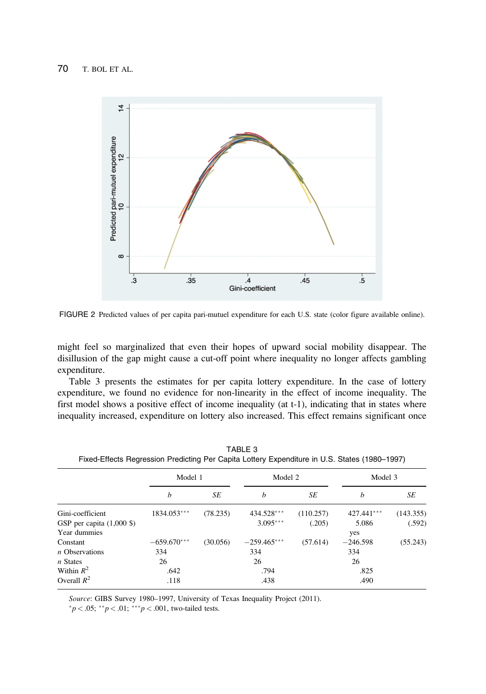

FIGURE 2 Predicted values of per capita pari-mutuel expenditure for each U.S. state (color figure available online).

might feel so marginalized that even their hopes of upward social mobility disappear. The disillusion of the gap might cause a cut-off point where inequality no longer affects gambling expenditure.

Table 3 presents the estimates for per capita lottery expenditure. In the case of lottery expenditure, we found no evidence for non-linearity in the effect of income inequality. The first model shows a positive effect of income inequality (at t-1), indicating that in states where inequality increased, expenditure on lottery also increased. This effect remains significant once

|                                                        | Model 1       |          | Model 2       |           | Model 3    |           |
|--------------------------------------------------------|---------------|----------|---------------|-----------|------------|-----------|
|                                                        | b             | SE       | h             | SE        | h          | SE        |
| Gini-coefficient                                       | 1834.053***   | (78.235) | 434.528***    | (110.257) | 427.441*** | (143.355) |
| GSP per capita $(1,000 \text{ } \text{\textsterling})$ |               |          | $3.095***$    | (.205)    | 5.086      | (.592)    |
| Year dummies                                           |               |          |               |           | yes        |           |
| Constant                                               | $-659.670***$ | (30.056) | $-259.465***$ | (57.614)  | $-246.598$ | (55.243)  |
| $n$ Observations                                       | 334           |          | 334           |           | 334        |           |
| $n$ States                                             | 26            |          | 26            |           | 26         |           |
| Within $R^2$                                           | .642          |          | .794          |           | .825       |           |
| Overall $R^2$                                          | .118          |          | .438          |           | .490       |           |

TABLE 3 Fixed-Effects Regression Predicting Per Capita Lottery Expenditure in U.S. States (1980–1997)

Source: GIBS Survey 1980-1997, University of Texas Inequality Project (2011).

 ${}^*p$  < .05;  ${}^{**}p$  < .01;  ${}^{***}p$  < .001, two-tailed tests.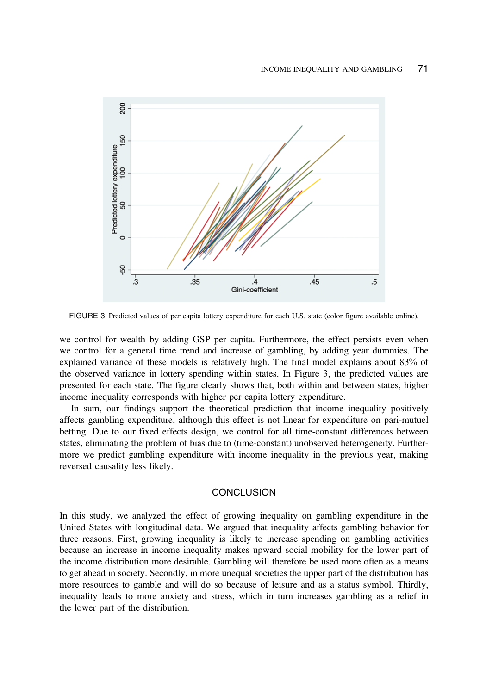

FIGURE 3 Predicted values of per capita lottery expenditure for each U.S. state (color figure available online).

we control for wealth by adding GSP per capita. Furthermore, the effect persists even when we control for a general time trend and increase of gambling, by adding year dummies. The explained variance of these models is relatively high. The final model explains about 83% of the observed variance in lottery spending within states. In Figure 3, the predicted values are presented for each state. The figure clearly shows that, both within and between states, higher income inequality corresponds with higher per capita lottery expenditure.

In sum, our findings support the theoretical prediction that income inequality positively affects gambling expenditure, although this effect is not linear for expenditure on pari-mutuel betting. Due to our fixed effects design, we control for all time-constant differences between states, eliminating the problem of bias due to (time-constant) unobserved heterogeneity. Furthermore we predict gambling expenditure with income inequality in the previous year, making reversed causality less likely.

## **CONCLUSION**

In this study, we analyzed the effect of growing inequality on gambling expenditure in the United States with longitudinal data. We argued that inequality affects gambling behavior for three reasons. First, growing inequality is likely to increase spending on gambling activities because an increase in income inequality makes upward social mobility for the lower part of the income distribution more desirable. Gambling will therefore be used more often as a means to get ahead in society. Secondly, in more unequal societies the upper part of the distribution has more resources to gamble and will do so because of leisure and as a status symbol. Thirdly, inequality leads to more anxiety and stress, which in turn increases gambling as a relief in the lower part of the distribution.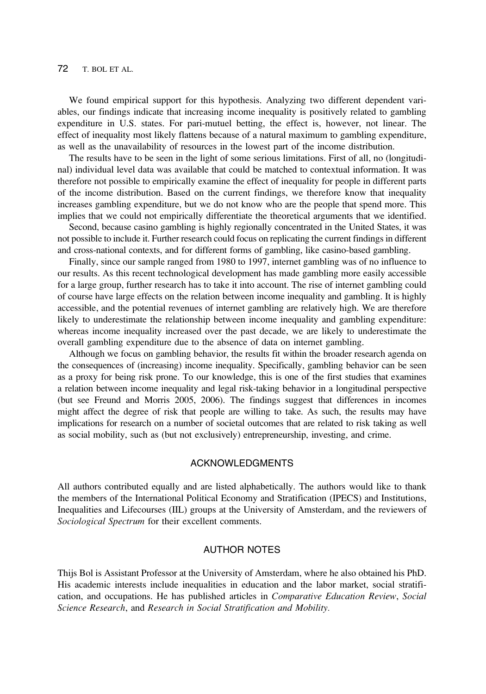## 72 T. BOL ET AL.

We found empirical support for this hypothesis. Analyzing two different dependent variables, our findings indicate that increasing income inequality is positively related to gambling expenditure in U.S. states. For pari-mutuel betting, the effect is, however, not linear. The effect of inequality most likely flattens because of a natural maximum to gambling expenditure, as well as the unavailability of resources in the lowest part of the income distribution.

The results have to be seen in the light of some serious limitations. First of all, no (longitudinal) individual level data was available that could be matched to contextual information. It was therefore not possible to empirically examine the effect of inequality for people in different parts of the income distribution. Based on the current findings, we therefore know that inequality increases gambling expenditure, but we do not know who are the people that spend more. This implies that we could not empirically differentiate the theoretical arguments that we identified.

Second, because casino gambling is highly regionally concentrated in the United States, it was not possible to include it. Further research could focus on replicating the current findings in different and cross-national contexts, and for different forms of gambling, like casino-based gambling.

Finally, since our sample ranged from 1980 to 1997, internet gambling was of no influence to our results. As this recent technological development has made gambling more easily accessible for a large group, further research has to take it into account. The rise of internet gambling could of course have large effects on the relation between income inequality and gambling. It is highly accessible, and the potential revenues of internet gambling are relatively high. We are therefore likely to underestimate the relationship between income inequality and gambling expenditure: whereas income inequality increased over the past decade, we are likely to underestimate the overall gambling expenditure due to the absence of data on internet gambling.

Although we focus on gambling behavior, the results fit within the broader research agenda on the consequences of (increasing) income inequality. Specifically, gambling behavior can be seen as a proxy for being risk prone. To our knowledge, this is one of the first studies that examines a relation between income inequality and legal risk-taking behavior in a longitudinal perspective (but see Freund and Morris 2005, 2006). The findings suggest that differences in incomes might affect the degree of risk that people are willing to take. As such, the results may have implications for research on a number of societal outcomes that are related to risk taking as well as social mobility, such as (but not exclusively) entrepreneurship, investing, and crime.

## ACKNOWLEDGMENTS

All authors contributed equally and are listed alphabetically. The authors would like to thank the members of the International Political Economy and Stratification (IPECS) and Institutions, Inequalities and Lifecourses (IIL) groups at the University of Amsterdam, and the reviewers of Sociological Spectrum for their excellent comments.

## AUTHOR NOTES

Thijs Bol is Assistant Professor at the University of Amsterdam, where he also obtained his PhD. His academic interests include inequalities in education and the labor market, social stratification, and occupations. He has published articles in Comparative Education Review, Social Science Research, and Research in Social Stratification and Mobility.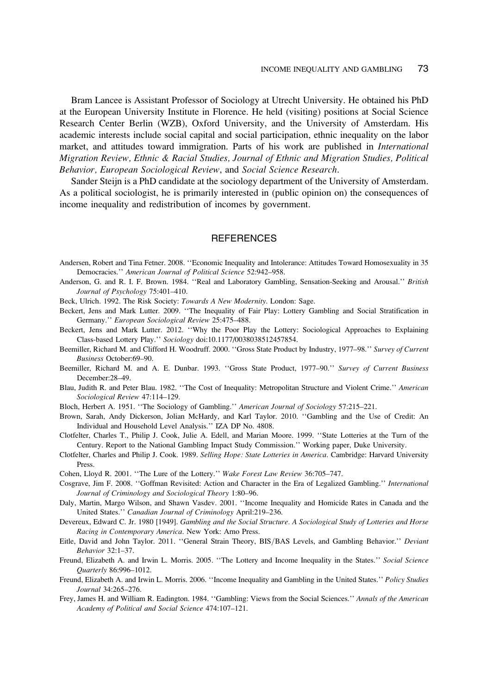Bram Lancee is Assistant Professor of Sociology at Utrecht University. He obtained his PhD at the European University Institute in Florence. He held (visiting) positions at Social Science Research Center Berlin (WZB), Oxford University, and the University of Amsterdam. His academic interests include social capital and social participation, ethnic inequality on the labor market, and attitudes toward immigration. Parts of his work are published in International Migration Review, Ethnic & Racial Studies, Journal of Ethnic and Migration Studies, Political Behavior, European Sociological Review, and Social Science Research.

Sander Steijn is a PhD candidate at the sociology department of the University of Amsterdam. As a political sociologist, he is primarily interested in (public opinion on) the consequences of income inequality and redistribution of incomes by government.

## **REFERENCES**

- Andersen, Robert and Tina Fetner. 2008. ''Economic Inequality and Intolerance: Attitudes Toward Homosexuality in 35 Democracies.'' American Journal of Political Science 52:942–958.
- Anderson, G. and R. I. F. Brown. 1984. "Real and Laboratory Gambling, Sensation-Seeking and Arousal." British Journal of Psychology 75:401–410.
- Beck, Ulrich. 1992. The Risk Society: Towards A New Modernity. London: Sage.
- Beckert, Jens and Mark Lutter. 2009. ''The Inequality of Fair Play: Lottery Gambling and Social Stratification in Germany.'' European Sociological Review 25:475–488.
- Beckert, Jens and Mark Lutter. 2012. ''Why the Poor Play the Lottery: Sociological Approaches to Explaining Class-based Lottery Play.'' Sociology doi:10.1177/0038038512457854.
- Beemiller, Richard M. and Clifford H. Woodruff. 2000. ''Gross State Product by Industry, 1977–98.'' Survey of Current Business October:69–90.
- Beemiller, Richard M. and A. E. Dunbar. 1993. ''Gross State Product, 1977–90.'' Survey of Current Business December:28–49.
- Blau, Judith R. and Peter Blau. 1982. ''The Cost of Inequality: Metropolitan Structure and Violent Crime.'' American Sociological Review 47:114–129.
- Bloch, Herbert A. 1951. "The Sociology of Gambling." American Journal of Sociology 57:215-221.
- Brown, Sarah, Andy Dickerson, Jolian McHardy, and Karl Taylor. 2010. ''Gambling and the Use of Credit: An Individual and Household Level Analysis.'' IZA DP No. 4808.
- Clotfelter, Charles T., Philip J. Cook, Julie A. Edell, and Marian Moore. 1999. ''State Lotteries at the Turn of the Century. Report to the National Gambling Impact Study Commission.'' Working paper, Duke University.
- Clotfelter, Charles and Philip J. Cook. 1989. Selling Hope: State Lotteries in America. Cambridge: Harvard University Press.
- Cohen, Lloyd R. 2001. ''The Lure of the Lottery.'' Wake Forest Law Review 36:705–747.
- Cosgrave, Jim F. 2008. ''Goffman Revisited: Action and Character in the Era of Legalized Gambling.'' International Journal of Criminology and Sociological Theory 1:80–96.
- Daly, Martin, Margo Wilson, and Shawn Vasdev. 2001. ''Income Inequality and Homicide Rates in Canada and the United States.'' Canadian Journal of Criminology April:219–236.
- Devereux, Edward C. Jr. 1980 [1949]. Gambling and the Social Structure. A Sociological Study of Lotteries and Horse Racing in Contemporary America. New York: Arno Press.
- Eitle, David and John Taylor. 2011. "General Strain Theory, BIS/BAS Levels, and Gambling Behavior." Deviant Behavior 32:1–37.
- Freund, Elizabeth A. and Irwin L. Morris. 2005. "The Lottery and Income Inequality in the States." Social Science Quarterly 86:996–1012.
- Freund, Elizabeth A. and Irwin L. Morris. 2006. "Income Inequality and Gambling in the United States." Policy Studies Journal 34:265–276.
- Frey, James H. and William R. Eadington. 1984. ''Gambling: Views from the Social Sciences.'' Annals of the American Academy of Political and Social Science 474:107–121.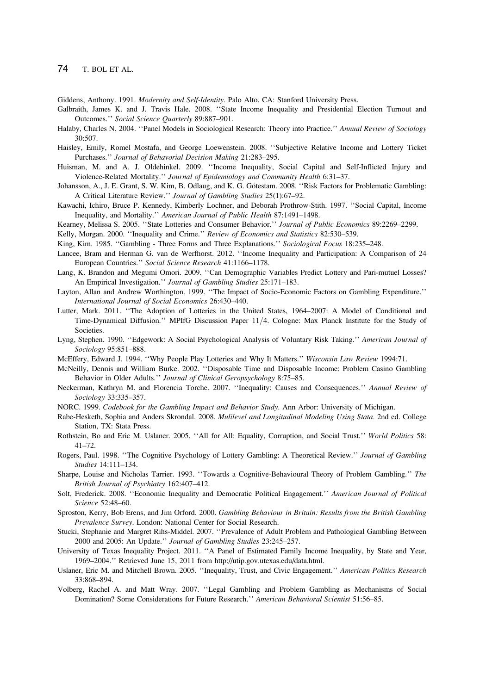## 74 T. BOL ET AL.

Giddens, Anthony. 1991. Modernity and Self-Identity. Palo Alto, CA: Stanford University Press.

- Galbraith, James K. and J. Travis Hale. 2008. ''State Income Inequality and Presidential Election Turnout and Outcomes.'' Social Science Quarterly 89:887–901.
- Halaby, Charles N. 2004. ''Panel Models in Sociological Research: Theory into Practice.'' Annual Review of Sociology 30:507.
- Haisley, Emily, Romel Mostafa, and George Loewenstein. 2008. ''Subjective Relative Income and Lottery Ticket Purchases.'' Journal of Behavorial Decision Making 21:283–295.
- Huisman, M. and A. J. Oldehinkel. 2009. ''Income Inequality, Social Capital and Self-Inflicted Injury and Violence-Related Mortality.'' Journal of Epidemiology and Community Health 6:31–37.
- Johansson, A., J. E. Grant, S. W. Kim, B. Odlaug, and K. G. Götestam. 2008. "Risk Factors for Problematic Gambling: A Critical Literature Review.'' Journal of Gambling Studies 25(1):67–92.
- Kawachi, Ichiro, Bruce P. Kennedy, Kimberly Lochner, and Deborah Prothrow-Stith. 1997. ''Social Capital, Income Inequality, and Mortality.'' American Journal of Public Health 87:1491–1498.
- Kearney, Melissa S. 2005. ''State Lotteries and Consumer Behavior.'' Journal of Public Economics 89:2269–2299.
- Kelly, Morgan. 2000. ''Inequality and Crime.'' Review of Economics and Statistics 82:530–539.
- King, Kim. 1985. ''Gambling Three Forms and Three Explanations.'' Sociological Focus 18:235–248.
- Lancee, Bram and Herman G. van de Werfhorst. 2012. ''Income Inequality and Participation: A Comparison of 24 European Countries.'' Social Science Research 41:1166–1178.
- Lang, K. Brandon and Megumi Omori. 2009. ''Can Demographic Variables Predict Lottery and Pari-mutuel Losses? An Empirical Investigation.'' Journal of Gambling Studies 25:171–183.
- Layton, Allan and Andrew Worthington. 1999. ''The Impact of Socio-Economic Factors on Gambling Expenditure.'' International Journal of Social Economics 26:430–440.
- Lutter, Mark. 2011. ''The Adoption of Lotteries in the United States, 1964–2007: A Model of Conditional and Time-Dynamical Diffusion.'' MPIfG Discussion Paper 11/4. Cologne: Max Planck Institute for the Study of Societies.
- Lyng, Stephen. 1990. ''Edgework: A Social Psychological Analysis of Voluntary Risk Taking.'' American Journal of Sociology 95:851–888.
- McEffery, Edward J. 1994. ''Why People Play Lotteries and Why It Matters.'' Wisconsin Law Review 1994:71.
- McNeilly, Dennis and William Burke. 2002. ''Disposable Time and Disposable Income: Problem Casino Gambling Behavior in Older Adults.'' Journal of Clinical Geropsychology 8:75–85.
- Neckerman, Kathryn M. and Florencia Torche. 2007. ''Inequality: Causes and Consequences.'' Annual Review of Sociology 33:335–357.
- NORC. 1999. Codebook for the Gambling Impact and Behavior Study. Ann Arbor: University of Michigan.
- Rabe-Hesketh, Sophia and Anders Skrondal. 2008. Mulilevel and Longitudinal Modeling Using Stata. 2nd ed. College Station, TX: Stata Press.
- Rothstein, Bo and Eric M. Uslaner. 2005. ''All for All: Equality, Corruption, and Social Trust.'' World Politics 58: 41–72.
- Rogers, Paul. 1998. ''The Cognitive Psychology of Lottery Gambling: A Theoretical Review.'' Journal of Gambling Studies 14:111–134.
- Sharpe, Louise and Nicholas Tarrier. 1993. ''Towards a Cognitive-Behavioural Theory of Problem Gambling.'' The British Journal of Psychiatry 162:407–412.
- Solt, Frederick. 2008. ''Economic Inequality and Democratic Political Engagement.'' American Journal of Political Science 52:48–60.
- Sproston, Kerry, Bob Erens, and Jim Orford. 2000. Gambling Behaviour in Britain: Results from the British Gambling Prevalence Survey. London: National Center for Social Research.
- Stucki, Stephanie and Margret Rihs-Middel. 2007. ''Prevalence of Adult Problem and Pathological Gambling Between 2000 and 2005: An Update.'' Journal of Gambling Studies 23:245–257.
- University of Texas Inequality Project. 2011. ''A Panel of Estimated Family Income Inequality, by State and Year, 1969–2004.'' Retrieved June 15, 2011 from http://utip.gov.utexas.edu/data.html.
- Uslaner, Eric M. and Mitchell Brown. 2005. ''Inequality, Trust, and Civic Engagement.'' American Politics Research 33:868–894.
- Volberg, Rachel A. and Matt Wray. 2007. ''Legal Gambling and Problem Gambling as Mechanisms of Social Domination? Some Considerations for Future Research.'' American Behavioral Scientist 51:56–85.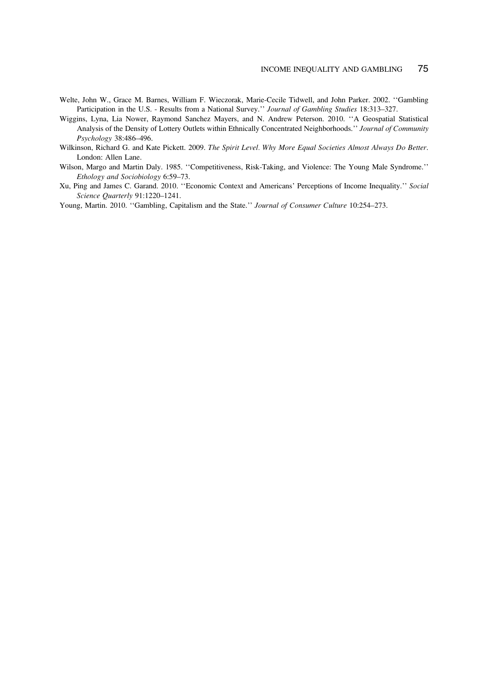- Welte, John W., Grace M. Barnes, William F. Wieczorak, Marie-Cecile Tidwell, and John Parker. 2002. ''Gambling Participation in the U.S. - Results from a National Survey.'' Journal of Gambling Studies 18:313–327.
- Wiggins, Lyna, Lia Nower, Raymond Sanchez Mayers, and N. Andrew Peterson. 2010. ''A Geospatial Statistical Analysis of the Density of Lottery Outlets within Ethnically Concentrated Neighborhoods.'' Journal of Community Psychology 38:486–496.
- Wilkinson, Richard G. and Kate Pickett. 2009. The Spirit Level. Why More Equal Societies Almost Always Do Better. London: Allen Lane.
- Wilson, Margo and Martin Daly. 1985. ''Competitiveness, Risk-Taking, and Violence: The Young Male Syndrome.'' Ethology and Sociobiology 6:59–73.
- Xu, Ping and James C. Garand. 2010. ''Economic Context and Americans' Perceptions of Income Inequality.'' Social Science Quarterly 91:1220–1241.
- Young, Martin. 2010. "Gambling, Capitalism and the State." Journal of Consumer Culture 10:254-273.